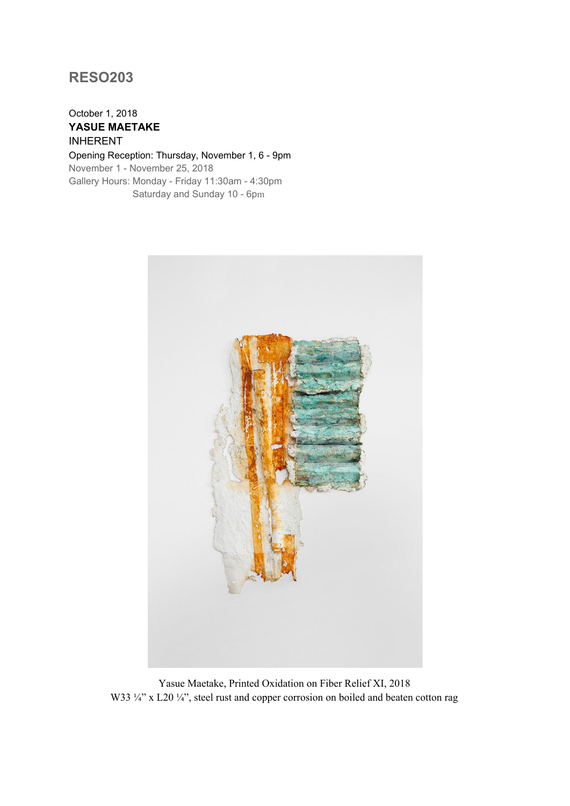## **RESO203**

## October 1, 2018 **YASUE MAETAKE** INHERENT

Opening Reception: Thursday, November 1, 6 - 9pm November 1 - November 25, 2018 Gallery Hours: Monday - Friday 11:30am - 4:30pm Saturday and Sunday 10 - 6pm



Yasue Maetake, Printed Oxidation on Fiber Relief XI, 2018 W33 ¼" x L20 ¼", steel rust and copper corrosion on boiled and beaten cotton rag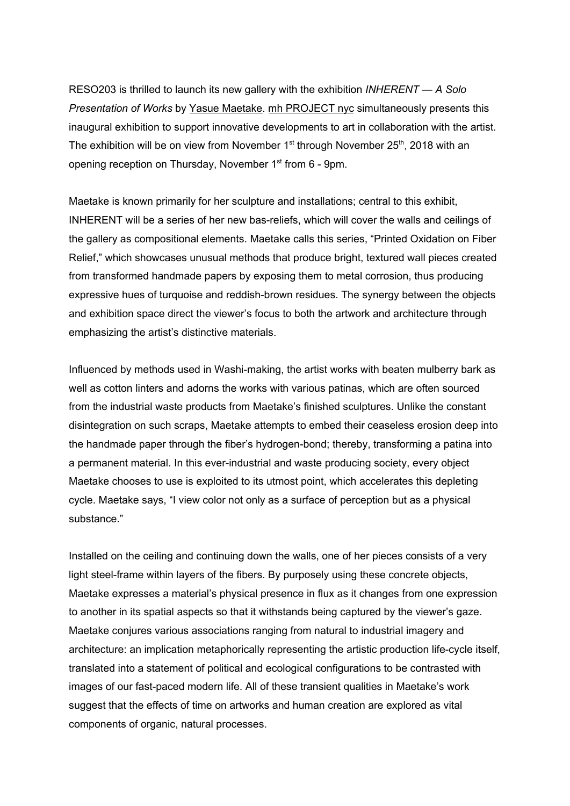RESO203 is thrilled to launch its new gallery with the exhibition *INHERENT — A Solo Presentation of Works* by Yasue [Maetake.](http://www.yasuemaetake.com/) mh [PROJECT](https://mhprojectnyc.com/Amorphous-Terrain) nyc simultaneously presents this inaugural exhibition to support innovative developments to art in collaboration with the artist. The exhibition will be on view from November  $1<sup>st</sup>$  through November 25<sup>th</sup>, 2018 with an opening reception on Thursday, November 1<sup>st</sup> from 6 - 9pm.

Maetake is known primarily for her sculpture and installations; central to this exhibit, INHERENT will be a series of her new bas-reliefs, which will cover the walls and ceilings of the gallery as compositional elements. Maetake calls this series, "Printed Oxidation on Fiber Relief," which showcases unusual methods that produce bright, textured wall pieces created from transformed handmade papers by exposing them to metal corrosion, thus producing expressive hues of turquoise and reddish-brown residues. The synergy between the objects and exhibition space direct the viewer's focus to both the artwork and architecture through emphasizing the artist's distinctive materials.

Influenced by methods used in Washi-making, the artist works with beaten mulberry bark as well as cotton linters and adorns the works with various patinas, which are often sourced from the industrial waste products from Maetake's finished sculptures. Unlike the constant disintegration on such scraps, Maetake attempts to embed their ceaseless erosion deep into the handmade paper through the fiber's hydrogen-bond; thereby, transforming a patina into a permanent material. In this ever-industrial and waste producing society, every object Maetake chooses to use is exploited to its utmost point, which accelerates this depleting cycle. Maetake says, "I view color not only as a surface of perception but as a physical substance."

Installed on the ceiling and continuing down the walls, one of her pieces consists of a very light steel-frame within layers of the fibers. By purposely using these concrete objects, Maetake expresses a material's physical presence in flux as it changes from one expression to another in its spatial aspects so that it withstands being captured by the viewer's gaze. Maetake conjures various associations ranging from natural to industrial imagery and architecture: an implication metaphorically representing the artistic production life-cycle itself, translated into a statement of political and ecological configurations to be contrasted with images of our fast-paced modern life. All of these transient qualities in Maetake's work suggest that the effects of time on artworks and human creation are explored as vital components of organic, natural processes.